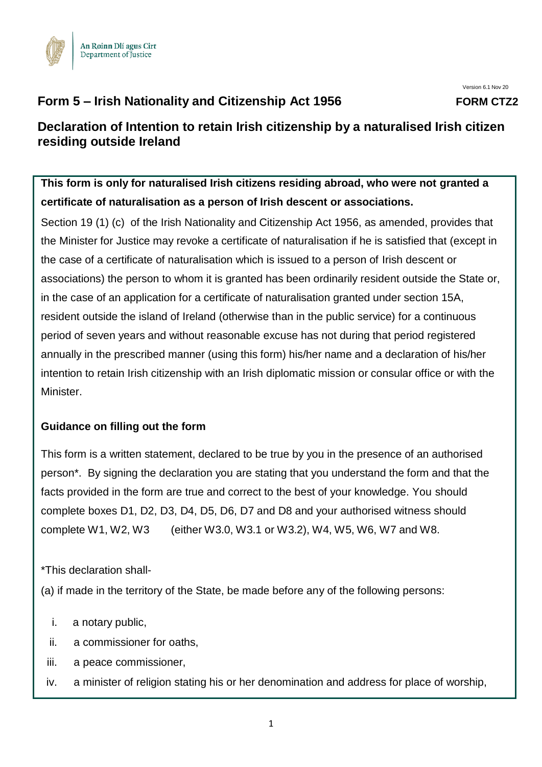

# **Form 5 – Irish Nationality and Citizenship Act 1956 FORM CTZ2**

# **Declaration of Intention to retain Irish citizenship by a naturalised Irish citizen residing outside Ireland**

**This form is only for naturalised Irish citizens residing abroad, who were not granted a certificate of naturalisation as a person of Irish descent or associations.**

Section 19 (1) (c) of the Irish Nationality and Citizenship Act 1956, as amended, provides that the Minister for Justice may revoke a certificate of naturalisation if he is satisfied that (except in the case of a certificate of naturalisation which is issued to a person of Irish descent or associations) the person to whom it is granted has been ordinarily resident outside the State or, in the case of an application for a certificate of naturalisation granted under section 15A, resident outside the island of Ireland (otherwise than in the public service) for a continuous period of seven years and without reasonable excuse has not during that period registered annually in the prescribed manner (using this form) his/her name and a declaration of his/her intention to retain Irish citizenship with an Irish diplomatic mission or consular office or with the Minister.

### **Guidance on filling out the form**

This form is a written statement, declared to be true by you in the presence of an authorised person\*. By signing the declaration you are stating that you understand the form and that the facts provided in the form are true and correct to the best of your knowledge. You should complete boxes D1, D2, D3, D4, D5, D6, D7 and D8 and your authorised witness should complete W1, W2, W3 (either W3.0, W3.1 or W3.2), W4, W5, W6, W7 and W8.

\*This declaration shall-

(a) if made in the territory of the State, be made before any of the following persons:

- i. a notary public,
- ii. a commissioner for oaths,
- iii. a peace commissioner,
- iv. a minister of religion stating his or her denomination and address for place of worship,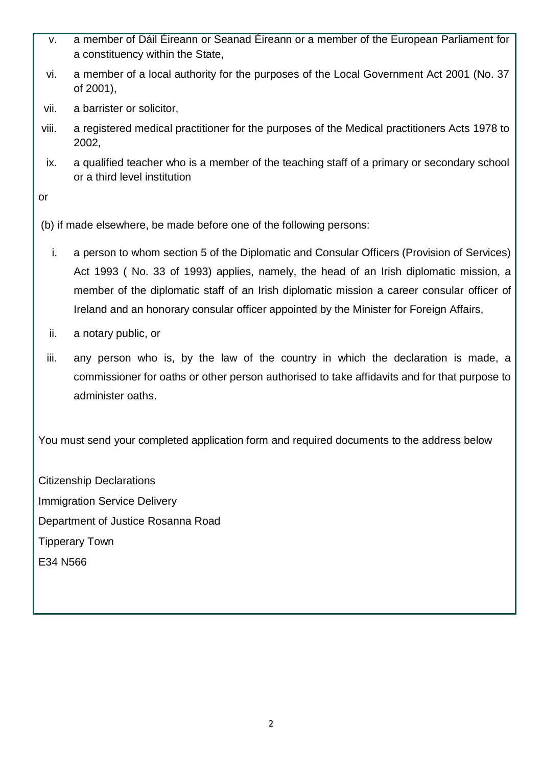- v. a member of Dáil Éireann or Seanad Éireann or a member of the European Parliament for a constituency within the State,
- vi. a member of a local authority for the purposes of the Local Government Act 2001 (No. 37 of 2001),
- vii. a barrister or solicitor,
- viii. a registered medical practitioner for the purposes of the Medical practitioners Acts 1978 to 2002,
- ix. a qualified teacher who is a member of the teaching staff of a primary or secondary school or a third level institution

or

(b) if made elsewhere, be made before one of the following persons:

- i. a person to whom section 5 of the Diplomatic and Consular Officers (Provision of Services) Act 1993 ( No. 33 of 1993) applies, namely, the head of an Irish diplomatic mission, a member of the diplomatic staff of an Irish diplomatic mission a career consular officer of Ireland and an honorary consular officer appointed by the Minister for Foreign Affairs,
- ii. a notary public, or
- iii. any person who is, by the law of the country in which the declaration is made, a commissioner for oaths or other person authorised to take affidavits and for that purpose to administer oaths.

You must send your completed application form and required documents to the address below

Citizenship Declarations Immigration Service Delivery Department of Justice Rosanna Road Tipperary Town E34 N566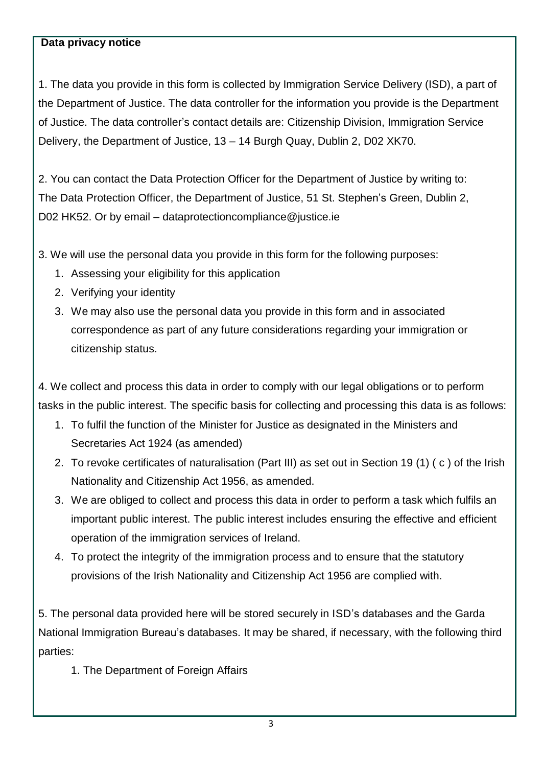#### **Data privacy notice**

1. The data you provide in this form is collected by Immigration Service Delivery (ISD), a part of the Department of Justice. The data controller for the information you provide is the Department of Justice. The data controller's contact details are: Citizenship Division, Immigration Service Delivery, the Department of Justice, 13 – 14 Burgh Quay, Dublin 2, D02 XK70.

2. You can contact the Data Protection Officer for the Department of Justice by writing to: The Data Protection Officer, the Department of Justice, 51 St. Stephen's Green, Dublin 2, D02 HK52. Or by email – [dataprotectioncompliance@justice.ie](mailto:dataprotectioncompliance@justice.ie)

3. We will use the personal data you provide in this form for the following purposes:

- 1. Assessing your eligibility for this application
- 2. Verifying your identity
- 3. We may also use the personal data you provide in this form and in associated correspondence as part of any future considerations regarding your immigration or citizenship status.

4. We collect and process this data in order to comply with our legal obligations or to perform tasks in the public interest. The specific basis for collecting and processing this data is as follows:

- 1. To fulfil the function of the Minister for Justice as designated in the Ministers and Secretaries Act 1924 (as amended)
- 2. To revoke certificates of naturalisation (Part III) as set out in Section 19 (1) ( c ) of the Irish Nationality and Citizenship Act 1956, as amended.
- 3. We are obliged to collect and process this data in order to perform a task which fulfils an important public interest. The public interest includes ensuring the effective and efficient operation of the immigration services of Ireland.
- 4. To protect the integrity of the immigration process and to ensure that the statutory provisions of the Irish Nationality and Citizenship Act 1956 are complied with.

5. The personal data provided here will be stored securely in ISD's databases and the Garda National Immigration Bureau's databases. It may be shared, if necessary, with the following third parties:

1. The Department of Foreign Affairs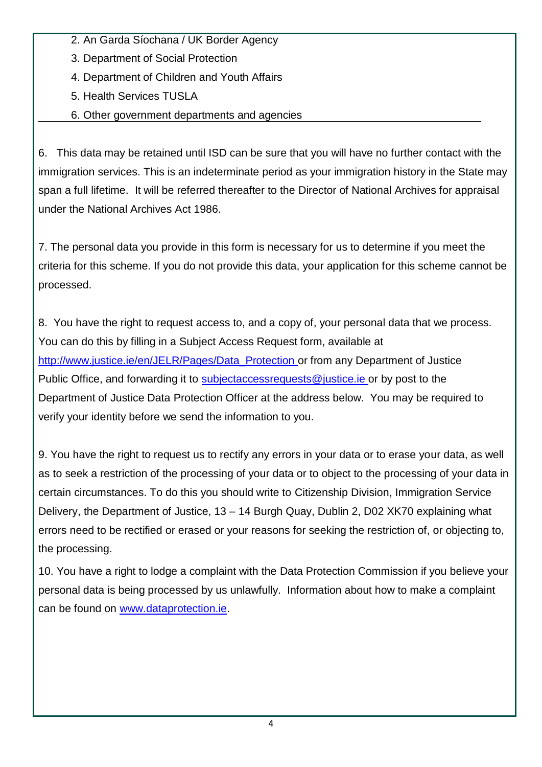- 2. An Garda Síochana / UK Border Agency
- 3. Department of Social Protection
- 4. Department of Children and Youth Affairs
- 5. Health Services TUSLA
- 6. Other government departments and agencies

6. This data may be retained until ISD can be sure that you will have no further contact with the immigration services. This is an indeterminate period as your immigration history in the State may span a full lifetime. It will be referred thereafter to the Director of National Archives for appraisal under the National Archives Act 1986.

7. The personal data you provide in this form is necessary for us to determine if you meet the criteria for this scheme. If you do not provide this data, your application for this scheme cannot be processed.

8. You have the right to request access to, and a copy of, your personal data that we process. You can do this by filling in a Subject Access Request form, available at [http://www.justice.ie/en/JELR/Pages/Data\\_Protection](http://www.justice.ie/en/JELR/Pages/Data_Protection) or from any Department of Justice Public Office, and forwarding it to [subjectaccessrequests@justice.ie](mailto:subjectaccessrequests@justice.ie) or by post to the Department of Justice Data Protection Officer at the address below. You may be required to verify your identity before we send the information to you.

9. You have the right to request us to rectify any errors in your data or to erase your data, as well as to seek a restriction of the processing of your data or to object to the processing of your data in certain circumstances. To do this you should write to Citizenship Division, Immigration Service Delivery, the Department of Justice, 13 – 14 Burgh Quay, Dublin 2, D02 XK70 explaining what errors need to be rectified or erased or your reasons for seeking the restriction of, or objecting to, the processing.

10. You have a right to lodge a complaint with the Data Protection Commission if you believe your personal data is being processed by us unlawfully. Information about how to make a complaint can be found on [www.dataprotection.ie.](http://www.dataprotection.ie/)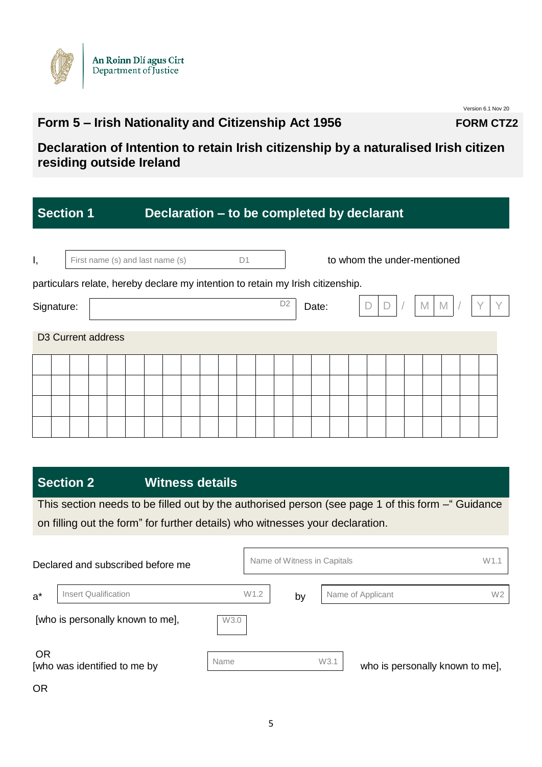

# **Form 5 – Irish Nationality and Citizenship Act 1956 FORM CTZ2**

Version 6.1 Nov 20

**Declaration of Intention to retain Irish citizenship by a naturalised Irish citizen residing outside Ireland**

|                                                                                 | <b>Section 1</b>               |  |  |                                  |  |  |    | Declaration – to be completed by declarant |                |       |  |  |   |                             |  |
|---------------------------------------------------------------------------------|--------------------------------|--|--|----------------------------------|--|--|----|--------------------------------------------|----------------|-------|--|--|---|-----------------------------|--|
| Ι,                                                                              |                                |  |  | First name (s) and last name (s) |  |  | D1 |                                            |                |       |  |  |   | to whom the under-mentioned |  |
| particulars relate, hereby declare my intention to retain my Irish citizenship. |                                |  |  |                                  |  |  |    |                                            |                |       |  |  |   |                             |  |
| Signature:                                                                      |                                |  |  |                                  |  |  |    |                                            | D <sub>2</sub> | Date: |  |  | M | M                           |  |
|                                                                                 | D <sub>3</sub> Current address |  |  |                                  |  |  |    |                                            |                |       |  |  |   |                             |  |
|                                                                                 |                                |  |  |                                  |  |  |    |                                            |                |       |  |  |   |                             |  |
|                                                                                 |                                |  |  |                                  |  |  |    |                                            |                |       |  |  |   |                             |  |
|                                                                                 |                                |  |  |                                  |  |  |    |                                            |                |       |  |  |   |                             |  |
|                                                                                 |                                |  |  |                                  |  |  |    |                                            |                |       |  |  |   |                             |  |
|                                                                                 |                                |  |  |                                  |  |  |    |                                            |                |       |  |  |   |                             |  |

# **Section 2 Witness details**

This section needs to be filled out by the authorised person (see page 1 of this form –" Guidance on filling out the form" for further details) who witnesses your declaration.

|           | Declared and subscribed before me |                  | Name of Witness in Capitals |      | W <sub>1.1</sub>                    |
|-----------|-----------------------------------|------------------|-----------------------------|------|-------------------------------------|
| $a^*$     | <b>Insert Qualification</b>       | W <sub>1.2</sub> | by                          |      | W <sub>2</sub><br>Name of Applicant |
|           | [who is personally known to me],  | W3.0             |                             |      |                                     |
| <b>OR</b> | [who was identified to me by      | Name             |                             | W3.1 | who is personally known to me],     |

OR